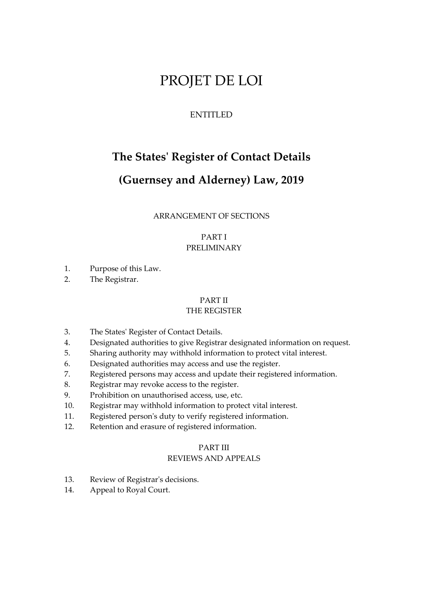# PROJET DE LOI

## ENTITLED

## **The States' Register of Contact Details**

## **(Guernsey and Alderney) Law, 2019**

## ARRANGEMENT OF SECTIONS

## PART I PRELIMINARY

- 1. Purpose of this Law.
- 2. The Registrar.

## PART II

## THE REGISTER

- 3. The States' Register of Contact Details.
- 4. Designated authorities to give Registrar designated information on request.
- 5. Sharing authority may withhold information to protect vital interest.
- 6. Designated authorities may access and use the register.
- 7. Registered persons may access and update their registered information.
- 8. Registrar may revoke access to the register.
- 9. Prohibition on unauthorised access, use, etc.
- 10. Registrar may withhold information to protect vital interest.
- 11. Registered person's duty to verify registered information.
- 12. Retention and erasure of registered information.

## PART III

## REVIEWS AND APPEALS

- 13. Review of Registrar's decisions.
- 14. Appeal to Royal Court.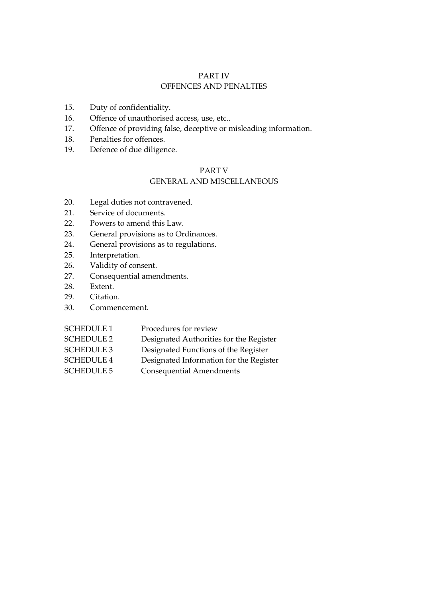## PART IV OFFENCES AND PENALTIES

- 15. Duty of confidentiality.
- 16. Offence of unauthorised access, use, etc..
- 17. Offence of providing false, deceptive or misleading information.
- 18. Penalties for offences.
- 19. Defence of due diligence.

## PART V

## GENERAL AND MISCELLANEOUS

- 20. Legal duties not contravened.
- 21. Service of documents.
- 22. Powers to amend this Law.
- 23. General provisions as to Ordinances.
- 24. General provisions as to regulations.
- 25. Interpretation.
- 26. Validity of consent.
- 27. Consequential amendments.
- 28. Extent.
- 29. Citation.
- 30. Commencement.

| <b>SCHEDULE 1</b> | Procedures for review                   |
|-------------------|-----------------------------------------|
| <b>SCHEDULE 2</b> | Designated Authorities for the Register |
| <b>SCHEDULE 3</b> | Designated Functions of the Register    |
| <b>SCHEDULE 4</b> | Designated Information for the Register |
| <b>SCHEDULE 5</b> | Consequential Amendments                |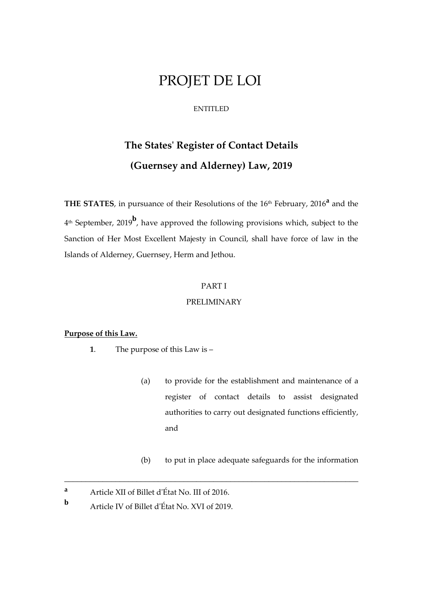## PROJET DE LOI

#### ENTITLED

# **The States' Register of Contact Details (Guernsey and Alderney) Law, 2019**

**THE STATES**, in pursuance of their Resolutions of the 16th February, 2016**<sup>a</sup>** and the 4 th September, 2019**<sup>b</sup>** , have approved the following provisions which, subject to the Sanction of Her Most Excellent Majesty in Council, shall have force of law in the Islands of Alderney, Guernsey, Herm and Jethou.

## PART I

## PRELIMINARY

\_\_\_\_\_\_\_\_\_\_\_\_\_\_\_\_\_\_\_\_\_\_\_\_\_\_\_\_\_\_\_\_\_\_\_\_\_\_\_\_\_\_\_\_\_\_\_\_\_\_\_\_\_\_\_\_\_\_\_\_\_\_\_\_\_\_\_\_\_

#### **Purpose of this Law.**

- **1**. The purpose of this Law is
	- (a) to provide for the establishment and maintenance of a register of contact details to assist designated authorities to carry out designated functions efficiently, and
	- (b) to put in place adequate safeguards for the information

**<sup>a</sup>** Article XII of Billet d'État No. III of 2016.

**b** Article IV of Billet d'État No. XVI of 2019.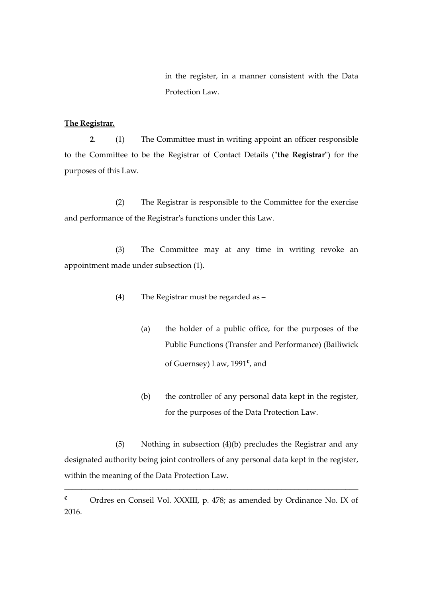in the register, in a manner consistent with the Data Protection Law.

## **The Registrar.**

**2**. (1) The Committee must in writing appoint an officer responsible to the Committee to be the Registrar of Contact Details ("**the Registrar**") for the purposes of this Law.

(2) The Registrar is responsible to the Committee for the exercise and performance of the Registrar's functions under this Law.

(3) The Committee may at any time in writing revoke an appointment made under subsection (1).

- (4) The Registrar must be regarded as
	- (a) the holder of a public office, for the purposes of the Public Functions (Transfer and Performance) (Bailiwick of Guernsey) Law, 1991**<sup>c</sup>** , and
	- (b) the controller of any personal data kept in the register, for the purposes of the Data Protection Law.

(5) Nothing in subsection (4)(b) precludes the Registrar and any designated authority being joint controllers of any personal data kept in the register, within the meaning of the Data Protection Law.

\_\_\_\_\_\_\_\_\_\_\_\_\_\_\_\_\_\_\_\_\_\_\_\_\_\_\_\_\_\_\_\_\_\_\_\_\_\_\_\_\_\_\_\_\_\_\_\_\_\_\_\_\_\_\_\_\_\_\_\_\_\_\_\_\_\_\_\_\_

**<sup>c</sup>** Ordres en Conseil Vol. XXXIII, p. 478; as amended by Ordinance No. IX of 2016.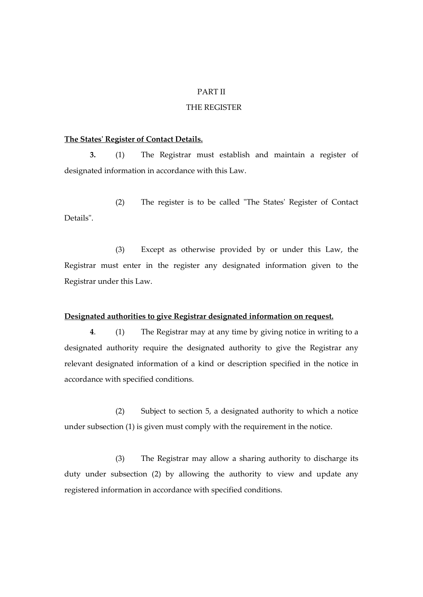## PART II

## THE REGISTER

#### **The States' Register of Contact Details.**

**3.** (1) The Registrar must establish and maintain a register of designated information in accordance with this Law.

(2) The register is to be called "The States' Register of Contact Details".

(3) Except as otherwise provided by or under this Law, the Registrar must enter in the register any designated information given to the Registrar under this Law.

### **Designated authorities to give Registrar designated information on request.**

**4**. (1) The Registrar may at any time by giving notice in writing to a designated authority require the designated authority to give the Registrar any relevant designated information of a kind or description specified in the notice in accordance with specified conditions.

(2) Subject to section 5, a designated authority to which a notice under subsection (1) is given must comply with the requirement in the notice.

(3) The Registrar may allow a sharing authority to discharge its duty under subsection (2) by allowing the authority to view and update any registered information in accordance with specified conditions.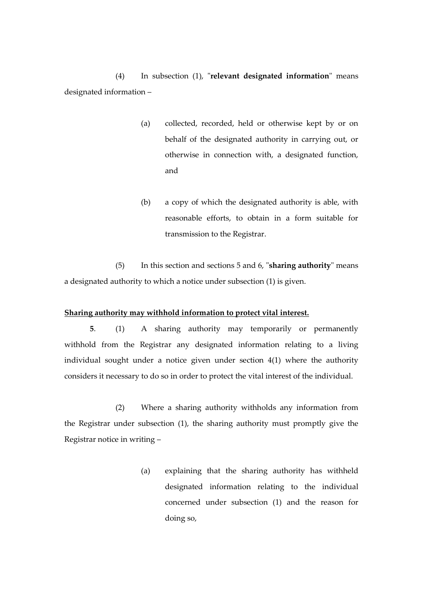(4) In subsection (1), "**relevant designated information**" means designated information –

- (a) collected, recorded, held or otherwise kept by or on behalf of the designated authority in carrying out, or otherwise in connection with, a designated function, and
- (b) a copy of which the designated authority is able, with reasonable efforts, to obtain in a form suitable for transmission to the Registrar.

(5) In this section and sections 5 and 6, "**sharing authority**" means a designated authority to which a notice under subsection (1) is given.

#### **Sharing authority may withhold information to protect vital interest.**

**5**. (1) A sharing authority may temporarily or permanently withhold from the Registrar any designated information relating to a living individual sought under a notice given under section 4(1) where the authority considers it necessary to do so in order to protect the vital interest of the individual.

(2) Where a sharing authority withholds any information from the Registrar under subsection (1), the sharing authority must promptly give the Registrar notice in writing –

> (a) explaining that the sharing authority has withheld designated information relating to the individual concerned under subsection (1) and the reason for doing so,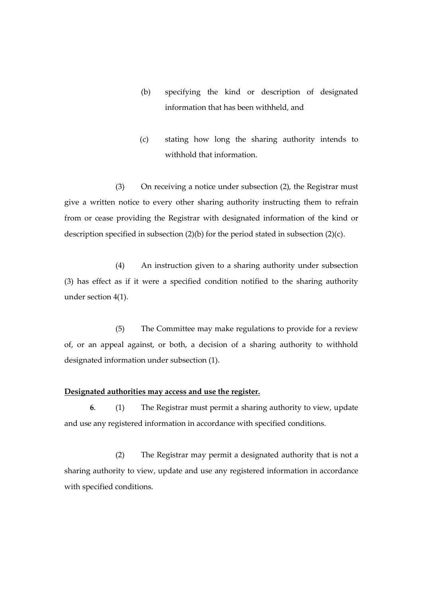- (b) specifying the kind or description of designated information that has been withheld, and
- (c) stating how long the sharing authority intends to withhold that information.

(3) On receiving a notice under subsection (2), the Registrar must give a written notice to every other sharing authority instructing them to refrain from or cease providing the Registrar with designated information of the kind or description specified in subsection (2)(b) for the period stated in subsection (2)(c).

(4) An instruction given to a sharing authority under subsection (3) has effect as if it were a specified condition notified to the sharing authority under section 4(1).

(5) The Committee may make regulations to provide for a review of, or an appeal against, or both, a decision of a sharing authority to withhold designated information under subsection (1).

### **Designated authorities may access and use the register.**

**6**. (1) The Registrar must permit a sharing authority to view, update and use any registered information in accordance with specified conditions.

(2) The Registrar may permit a designated authority that is not a sharing authority to view, update and use any registered information in accordance with specified conditions.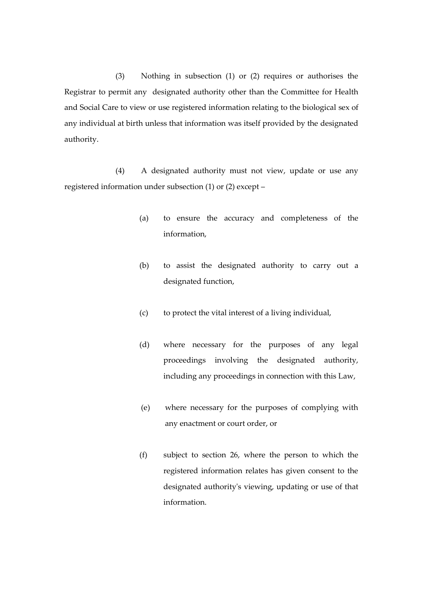(3) Nothing in subsection (1) or (2) requires or authorises the Registrar to permit any designated authority other than the Committee for Health and Social Care to view or use registered information relating to the biological sex of any individual at birth unless that information was itself provided by the designated authority.

(4) A designated authority must not view, update or use any registered information under subsection (1) or (2) except –

- (a) to ensure the accuracy and completeness of the information,
- (b) to assist the designated authority to carry out a designated function,
- (c) to protect the vital interest of a living individual,
- (d) where necessary for the purposes of any legal proceedings involving the designated authority, including any proceedings in connection with this Law,
- (e) where necessary for the purposes of complying with any enactment or court order, or
- (f) subject to section 26, where the person to which the registered information relates has given consent to the designated authority's viewing, updating or use of that information.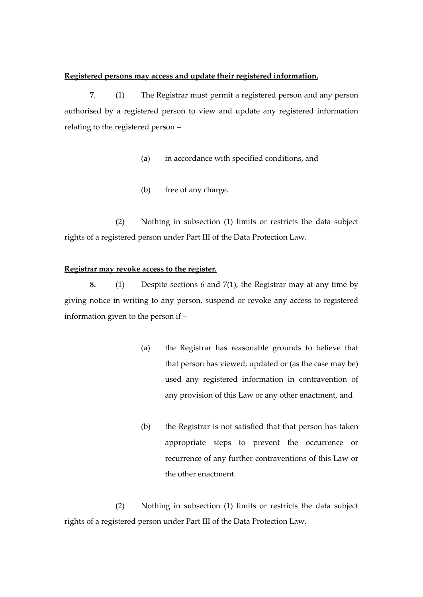#### **Registered persons may access and update their registered information.**

**7**. (1) The Registrar must permit a registered person and any person authorised by a registered person to view and update any registered information relating to the registered person –

- (a) in accordance with specified conditions, and
- (b) free of any charge.

(2) Nothing in subsection (1) limits or restricts the data subject rights of a registered person under Part III of the Data Protection Law.

#### **Registrar may revoke access to the register.**

**8.** (1) Despite sections 6 and 7(1), the Registrar may at any time by giving notice in writing to any person, suspend or revoke any access to registered information given to the person if –

- (a) the Registrar has reasonable grounds to believe that that person has viewed, updated or (as the case may be) used any registered information in contravention of any provision of this Law or any other enactment, and
- (b) the Registrar is not satisfied that that person has taken appropriate steps to prevent the occurrence or recurrence of any further contraventions of this Law or the other enactment.

(2) Nothing in subsection (1) limits or restricts the data subject rights of a registered person under Part III of the Data Protection Law.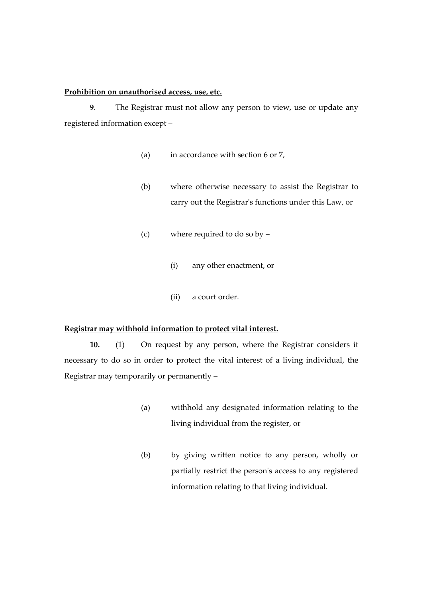## **Prohibition on unauthorised access, use, etc.**

**9**. The Registrar must not allow any person to view, use or update any registered information except –

- (a) in accordance with section 6 or 7,
- (b) where otherwise necessary to assist the Registrar to carry out the Registrar's functions under this Law, or
- (c) where required to do so by
	- (i) any other enactment, or
	- (ii) a court order.

#### **Registrar may withhold information to protect vital interest.**

**10.** (1) On request by any person, where the Registrar considers it necessary to do so in order to protect the vital interest of a living individual, the Registrar may temporarily or permanently –

- (a) withhold any designated information relating to the living individual from the register, or
- (b) by giving written notice to any person, wholly or partially restrict the person's access to any registered information relating to that living individual.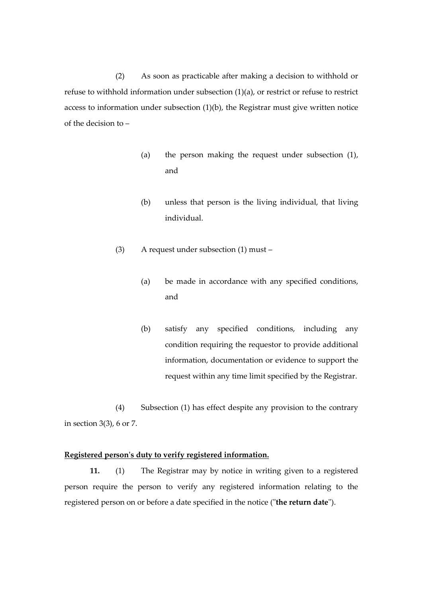(2) As soon as practicable after making a decision to withhold or refuse to withhold information under subsection (1)(a), or restrict or refuse to restrict access to information under subsection (1)(b), the Registrar must give written notice of the decision to –

- (a) the person making the request under subsection (1), and
- (b) unless that person is the living individual, that living individual.
- (3) A request under subsection (1) must
	- (a) be made in accordance with any specified conditions, and
	- (b) satisfy any specified conditions, including any condition requiring the requestor to provide additional information, documentation or evidence to support the request within any time limit specified by the Registrar.

(4) Subsection (1) has effect despite any provision to the contrary in section 3(3), 6 or 7.

## **Registered person's duty to verify registered information.**

**11.** (1) The Registrar may by notice in writing given to a registered person require the person to verify any registered information relating to the registered person on or before a date specified in the notice ("**the return date**").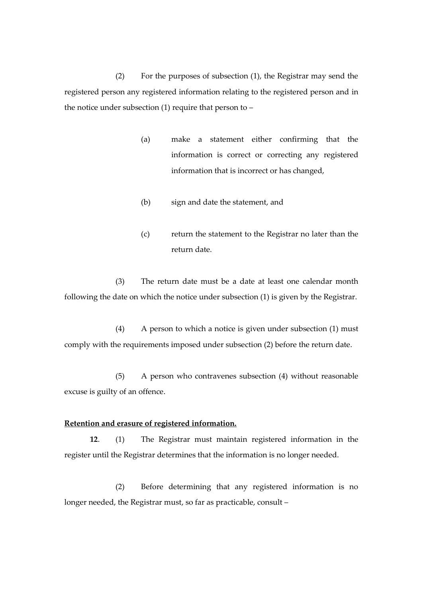(2) For the purposes of subsection (1), the Registrar may send the registered person any registered information relating to the registered person and in the notice under subsection (1) require that person to –

- (a) make a statement either confirming that the information is correct or correcting any registered information that is incorrect or has changed,
- (b) sign and date the statement, and
- (c) return the statement to the Registrar no later than the return date.

(3) The return date must be a date at least one calendar month following the date on which the notice under subsection (1) is given by the Registrar.

(4) A person to which a notice is given under subsection (1) must comply with the requirements imposed under subsection (2) before the return date.

(5) A person who contravenes subsection (4) without reasonable excuse is guilty of an offence.

## **Retention and erasure of registered information.**

**12**. (1) The Registrar must maintain registered information in the register until the Registrar determines that the information is no longer needed.

(2) Before determining that any registered information is no longer needed, the Registrar must, so far as practicable, consult –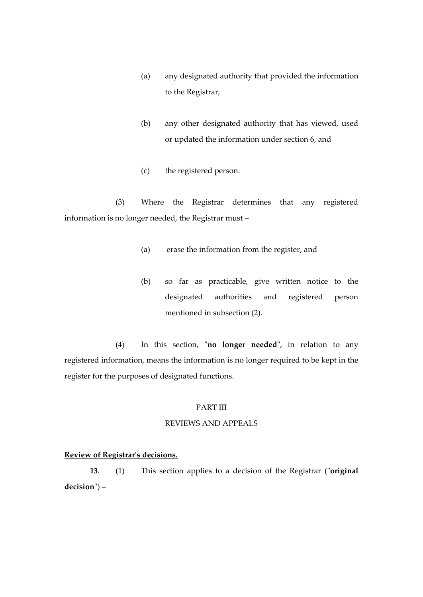- (a) any designated authority that provided the information to the Registrar,
- (b) any other designated authority that has viewed, used or updated the information under section 6, and
- (c) the registered person.

(3) Where the Registrar determines that any registered information is no longer needed, the Registrar must –

- (a) erase the information from the register, and
- (b) so far as practicable, give written notice to the designated authorities and registered person mentioned in subsection (2).

(4) In this section, "**no longer needed**", in relation to any registered information, means the information is no longer required to be kept in the register for the purposes of designated functions.

#### PART III

## REVIEWS AND APPEALS

## **Review of Registrar's decisions.**

**13**. (1) This section applies to a decision of the Registrar ("**original decision**") –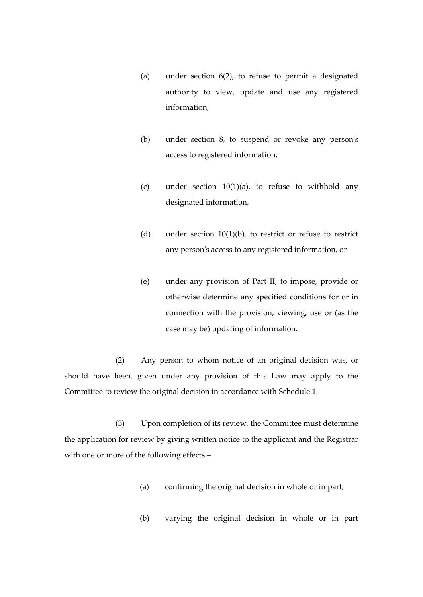- (a) under section 6(2), to refuse to permit a designated authority to view, update and use any registered information,
- (b) under section 8, to suspend or revoke any person's access to registered information,
- (c) under section  $10(1)(a)$ , to refuse to withhold any designated information,
- (d) under section  $10(1)(b)$ , to restrict or refuse to restrict any person's access to any registered information, or
- (e) under any provision of Part II, to impose, provide or otherwise determine any specified conditions for or in connection with the provision, viewing, use or (as the case may be) updating of information.

(2) Any person to whom notice of an original decision was, or should have been, given under any provision of this Law may apply to the Committee to review the original decision in accordance with Schedule 1.

(3) Upon completion of its review, the Committee must determine the application for review by giving written notice to the applicant and the Registrar with one or more of the following effects –

- (a) confirming the original decision in whole or in part,
- (b) varying the original decision in whole or in part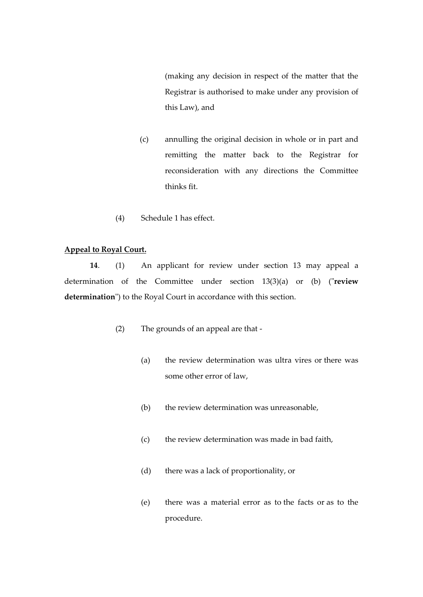(making any decision in respect of the matter that the Registrar is authorised to make under any provision of this Law), and

- (c) annulling the original decision in whole or in part and remitting the matter back to the Registrar for reconsideration with any directions the Committee thinks fit.
- (4) Schedule 1 has effect.

## **Appeal to Royal Court.**

**14**. (1) An applicant for review under section 13 may appeal a determination of the Committee under section 13(3)(a) or (b) ("**review determination**") to the Royal Court in accordance with this section.

- (2) The grounds of an appeal are that
	- (a) the review determination was ultra vires or there was some other error of law,
	- (b) the review determination was unreasonable,
	- (c) the review determination was made in bad faith,
	- (d) there was a lack of proportionality, or
	- (e) there was a material error as to the facts or as to the procedure.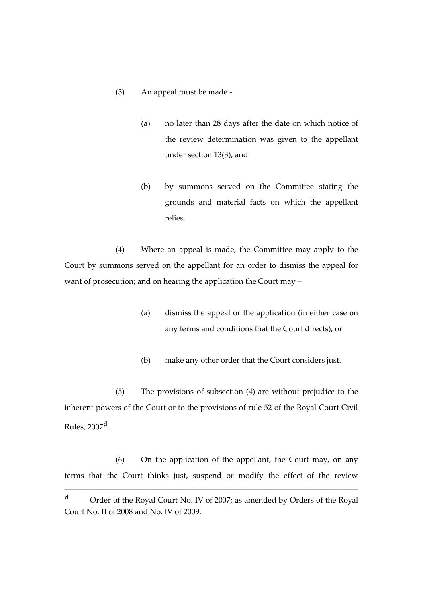## (3) An appeal must be made -

- (a) no later than 28 days after the date on which notice of the review determination was given to the appellant under section 13(3), and
- (b) by summons served on the Committee stating the grounds and material facts on which the appellant relies.

(4) Where an appeal is made, the Committee may apply to the Court by summons served on the appellant for an order to dismiss the appeal for want of prosecution; and on hearing the application the Court may –

- (a) dismiss the appeal or the application (in either case on any terms and conditions that the Court directs), or
- (b) make any other order that the Court considers just.

(5) The provisions of subsection (4) are without prejudice to the inherent powers of the Court or to the provisions of rule 52 of the Royal Court Civil Rules, 2007**<sup>d</sup>** .

(6) On the application of the appellant, the Court may, on any terms that the Court thinks just, suspend or modify the effect of the review

\_\_\_\_\_\_\_\_\_\_\_\_\_\_\_\_\_\_\_\_\_\_\_\_\_\_\_\_\_\_\_\_\_\_\_\_\_\_\_\_\_\_\_\_\_\_\_\_\_\_\_\_\_\_\_\_\_\_\_\_\_\_\_\_\_\_\_\_\_

**<sup>d</sup>** Order of the Royal Court No. IV of 2007; as amended by Orders of the Royal Court No. II of 2008 and No. IV of 2009.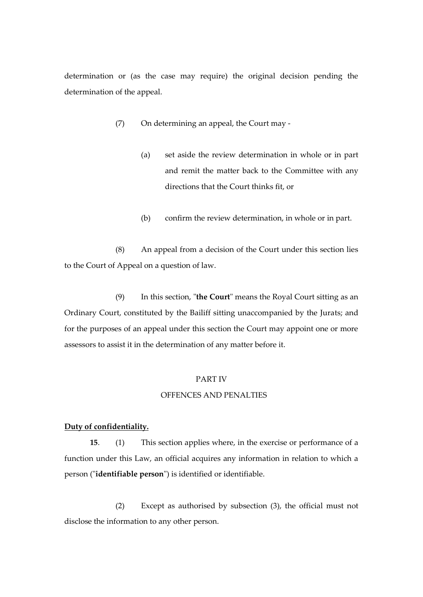determination or (as the case may require) the original decision pending the determination of the appeal.

- (7) On determining an appeal, the Court may
	- (a) set aside the review determination in whole or in part and remit the matter back to the Committee with any directions that the Court thinks fit, or
	- (b) confirm the review determination, in whole or in part.

(8) An appeal from a decision of the Court under this section lies to the Court of Appeal on a question of law.

(9) In this section, "**the Court**" means the Royal Court sitting as an Ordinary Court, constituted by the Bailiff sitting unaccompanied by the Jurats; and for the purposes of an appeal under this section the Court may appoint one or more assessors to assist it in the determination of any matter before it.

### PART IV

#### OFFENCES AND PENALTIES

#### **Duty of confidentiality.**

**15**. (1) This section applies where, in the exercise or performance of a function under this Law, an official acquires any information in relation to which a person ("**identifiable person**") is identified or identifiable.

(2) Except as authorised by subsection (3), the official must not disclose the information to any other person.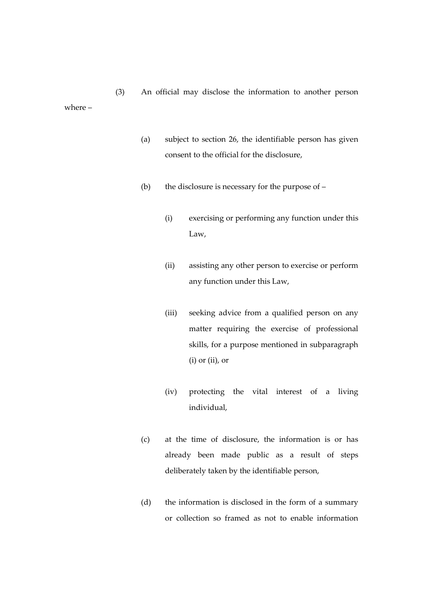(3) An official may disclose the information to another person where –

- (a) subject to section 26, the identifiable person has given consent to the official for the disclosure,
- (b) the disclosure is necessary for the purpose of
	- (i) exercising or performing any function under this Law,
	- (ii) assisting any other person to exercise or perform any function under this Law,
	- (iii) seeking advice from a qualified person on any matter requiring the exercise of professional skills, for a purpose mentioned in subparagraph (i) or (ii), or
	- (iv) protecting the vital interest of a living individual,
- (c) at the time of disclosure, the information is or has already been made public as a result of steps deliberately taken by the identifiable person,
- (d) the information is disclosed in the form of a summary or collection so framed as not to enable information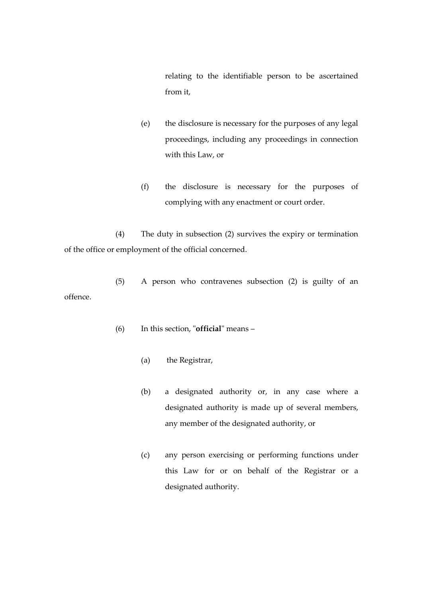relating to the identifiable person to be ascertained from it,

- (e) the disclosure is necessary for the purposes of any legal proceedings, including any proceedings in connection with this Law, or
- (f) the disclosure is necessary for the purposes of complying with any enactment or court order.

(4) The duty in subsection (2) survives the expiry or termination of the office or employment of the official concerned.

(5) A person who contravenes subsection (2) is guilty of an offence.

- (6) In this section, "**official**" means
	- (a) the Registrar,
	- (b) a designated authority or, in any case where a designated authority is made up of several members, any member of the designated authority, or
	- (c) any person exercising or performing functions under this Law for or on behalf of the Registrar or a designated authority.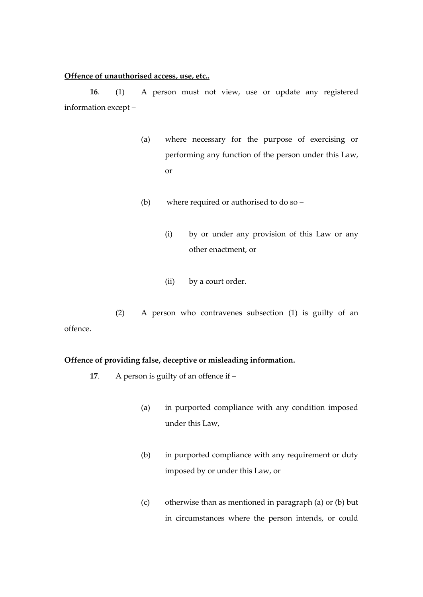#### **Offence of unauthorised access, use, etc..**

**16**. (1) A person must not view, use or update any registered information except –

- (a) where necessary for the purpose of exercising or performing any function of the person under this Law, or
- (b) where required or authorised to do so
	- (i) by or under any provision of this Law or any other enactment, or
	- (ii) by a court order.

(2) A person who contravenes subsection (1) is guilty of an offence.

## **Offence of providing false, deceptive or misleading information.**

- **17**. A person is guilty of an offence if
	- (a) in purported compliance with any condition imposed under this Law,
	- (b) in purported compliance with any requirement or duty imposed by or under this Law, or
	- (c) otherwise than as mentioned in paragraph (a) or (b) but in circumstances where the person intends, or could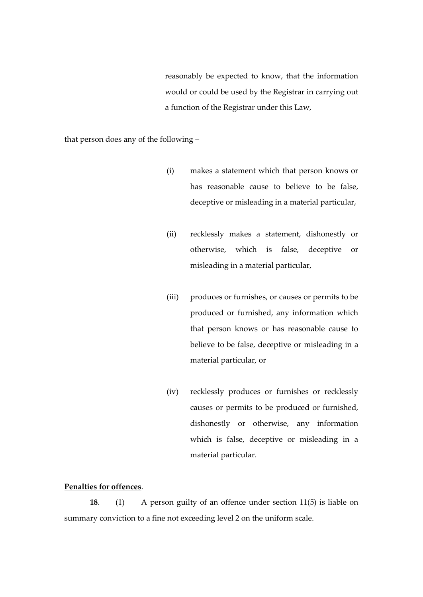reasonably be expected to know, that the information would or could be used by the Registrar in carrying out a function of the Registrar under this Law,

that person does any of the following –

- (i) makes a statement which that person knows or has reasonable cause to believe to be false, deceptive or misleading in a material particular,
- (ii) recklessly makes a statement, dishonestly or otherwise, which is false, deceptive or misleading in a material particular,
- (iii) produces or furnishes, or causes or permits to be produced or furnished, any information which that person knows or has reasonable cause to believe to be false, deceptive or misleading in a material particular, or
- (iv) recklessly produces or furnishes or recklessly causes or permits to be produced or furnished, dishonestly or otherwise, any information which is false, deceptive or misleading in a material particular.

## **Penalties for offences**.

**18**. (1) A person guilty of an offence under section 11(5) is liable on summary conviction to a fine not exceeding level 2 on the uniform scale.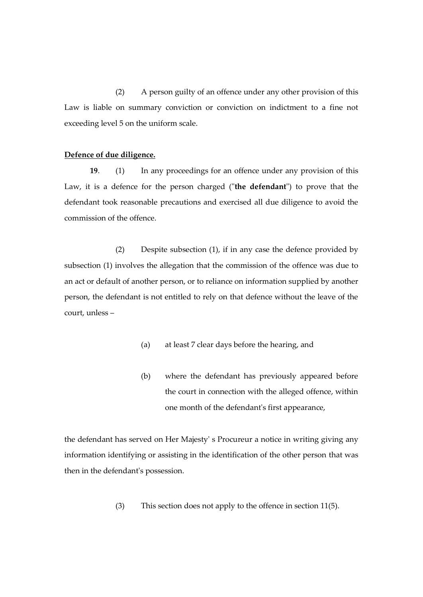(2) A person guilty of an offence under any other provision of this Law is liable on summary conviction or conviction on indictment to a fine not exceeding level 5 on the uniform scale.

#### **Defence of due diligence.**

**19**. (1) In any proceedings for an offence under any provision of this Law, it is a defence for the person charged ("**the defendant**") to prove that the defendant took reasonable precautions and exercised all due diligence to avoid the commission of the offence.

(2) Despite subsection (1), if in any case the defence provided by subsection (1) involves the allegation that the commission of the offence was due to an act or default of another person, or to reliance on information supplied by another person, the defendant is not entitled to rely on that defence without the leave of the court, unless –

- (a) at least 7 clear days before the hearing, and
- (b) where the defendant has previously appeared before the court in connection with the alleged offence, within one month of the defendant's first appearance,

the defendant has served on Her Majesty' s Procureur a notice in writing giving any information identifying or assisting in the identification of the other person that was then in the defendant's possession.

(3) This section does not apply to the offence in section 11(5).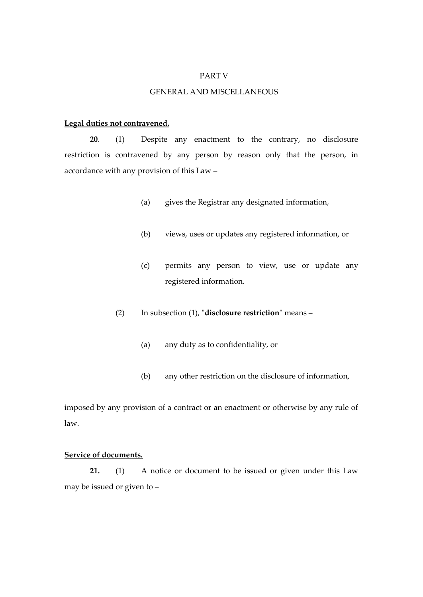#### PART V

## GENERAL AND MISCELLANEOUS

#### **Legal duties not contravened.**

**20**. (1) Despite any enactment to the contrary, no disclosure restriction is contravened by any person by reason only that the person, in accordance with any provision of this Law –

- (a) gives the Registrar any designated information,
- (b) views, uses or updates any registered information, or
- (c) permits any person to view, use or update any registered information.
- (2) In subsection (1), "**disclosure restriction**" means
	- (a) any duty as to confidentiality, or
	- (b) any other restriction on the disclosure of information,

imposed by any provision of a contract or an enactment or otherwise by any rule of law.

## **Service of documents.**

**21.** (1) A notice or document to be issued or given under this Law may be issued or given to –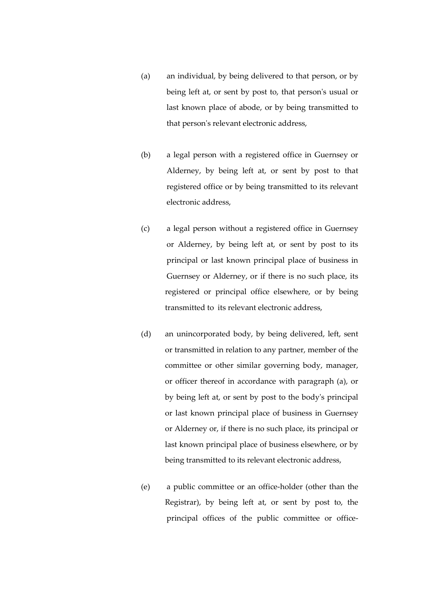- (a) an individual, by being delivered to that person, or by being left at, or sent by post to, that person's usual or last known place of abode, or by being transmitted to that person's relevant electronic address,
- (b) a legal person with a registered office in Guernsey or Alderney, by being left at, or sent by post to that registered office or by being transmitted to its relevant electronic address,
- (c) a legal person without a registered office in Guernsey or Alderney, by being left at, or sent by post to its principal or last known principal place of business in Guernsey or Alderney, or if there is no such place, its registered or principal office elsewhere, or by being transmitted to its relevant electronic address,
- (d) an unincorporated body, by being delivered, left, sent or transmitted in relation to any partner, member of the committee or other similar governing body, manager, or officer thereof in accordance with paragraph (a), or by being left at, or sent by post to the body's principal or last known principal place of business in Guernsey or Alderney or, if there is no such place, its principal or last known principal place of business elsewhere, or by being transmitted to its relevant electronic address,
- (e) a public committee or an office-holder (other than the Registrar), by being left at, or sent by post to, the principal offices of the public committee or office-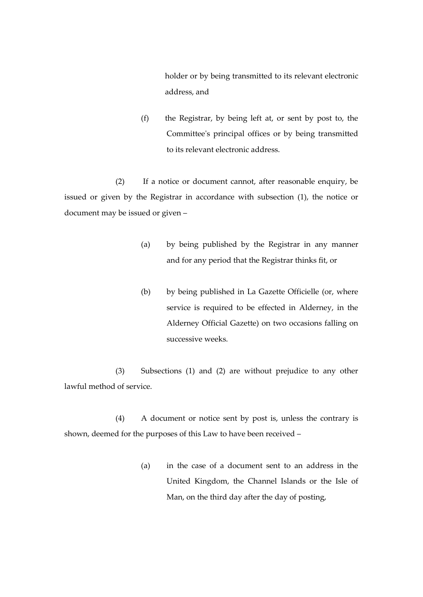holder or by being transmitted to its relevant electronic address, and

(f) the Registrar, by being left at, or sent by post to, the Committee's principal offices or by being transmitted to its relevant electronic address.

(2) If a notice or document cannot, after reasonable enquiry, be issued or given by the Registrar in accordance with subsection (1), the notice or document may be issued or given –

- (a) by being published by the Registrar in any manner and for any period that the Registrar thinks fit, or
- (b) by being published in La Gazette Officielle (or, where service is required to be effected in Alderney, in the Alderney Official Gazette) on two occasions falling on successive weeks.

(3) Subsections (1) and (2) are without prejudice to any other lawful method of service.

(4) A document or notice sent by post is, unless the contrary is shown, deemed for the purposes of this Law to have been received –

> (a) in the case of a document sent to an address in the United Kingdom, the Channel Islands or the Isle of Man, on the third day after the day of posting,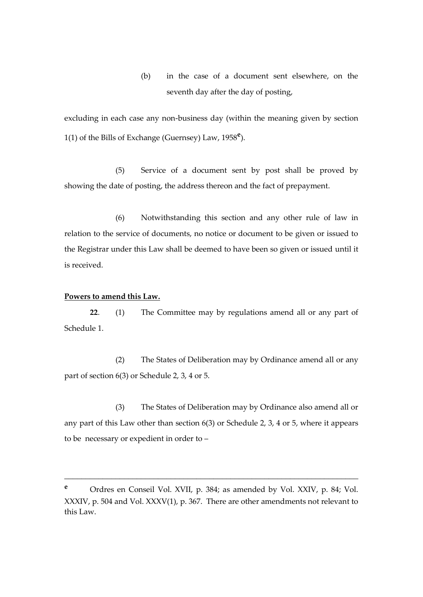(b) in the case of a document sent elsewhere, on the seventh day after the day of posting,

excluding in each case any non-business day (within the meaning given by section 1(1) of the Bills of Exchange (Guernsey) Law, 1958**<sup>e</sup>** ).

(5) Service of a document sent by post shall be proved by showing the date of posting, the address thereon and the fact of prepayment.

(6) Notwithstanding this section and any other rule of law in relation to the service of documents, no notice or document to be given or issued to the Registrar under this Law shall be deemed to have been so given or issued until it is received.

#### **Powers to amend this Law.**

**22**. (1) The Committee may by regulations amend all or any part of Schedule 1.

(2) The States of Deliberation may by Ordinance amend all or any part of section 6(3) or Schedule 2, 3, 4 or 5.

(3) The States of Deliberation may by Ordinance also amend all or any part of this Law other than section 6(3) or Schedule 2, 3, 4 or 5, where it appears to be necessary or expedient in order to –

\_\_\_\_\_\_\_\_\_\_\_\_\_\_\_\_\_\_\_\_\_\_\_\_\_\_\_\_\_\_\_\_\_\_\_\_\_\_\_\_\_\_\_\_\_\_\_\_\_\_\_\_\_\_\_\_\_\_\_\_\_\_\_\_\_\_\_\_\_

**<sup>e</sup>** Ordres en Conseil Vol. XVII, p. 384; as amended by Vol. XXIV, p. 84; Vol. XXXIV, p. 504 and Vol. XXXV(1), p. 367. There are other amendments not relevant to this Law.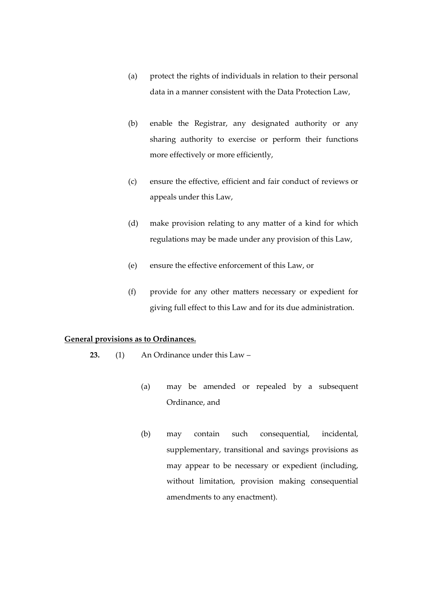- (a) protect the rights of individuals in relation to their personal data in a manner consistent with the Data Protection Law,
- (b) enable the Registrar, any designated authority or any sharing authority to exercise or perform their functions more effectively or more efficiently,
- (c) ensure the effective, efficient and fair conduct of reviews or appeals under this Law,
- (d) make provision relating to any matter of a kind for which regulations may be made under any provision of this Law,
- (e) ensure the effective enforcement of this Law, or
- (f) provide for any other matters necessary or expedient for giving full effect to this Law and for its due administration.

## **General provisions as to Ordinances.**

- **23.** (1) An Ordinance under this Law
	- (a) may be amended or repealed by a subsequent Ordinance, and
	- (b) may contain such consequential, incidental, supplementary, transitional and savings provisions as may appear to be necessary or expedient (including, without limitation, provision making consequential amendments to any enactment).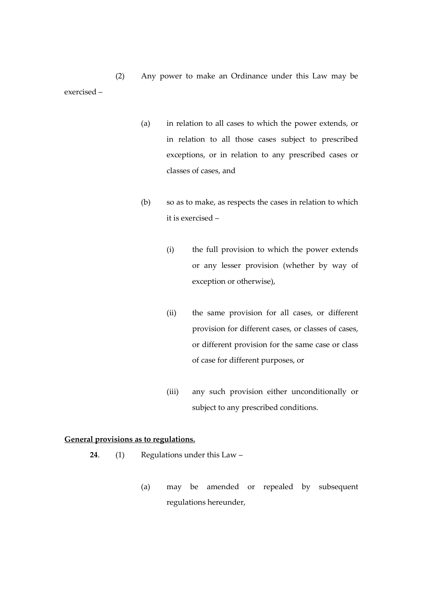(2) Any power to make an Ordinance under this Law may be exercised –

- (a) in relation to all cases to which the power extends, or in relation to all those cases subject to prescribed exceptions, or in relation to any prescribed cases or classes of cases, and
- (b) so as to make, as respects the cases in relation to which it is exercised –
	- (i) the full provision to which the power extends or any lesser provision (whether by way of exception or otherwise),
	- (ii) the same provision for all cases, or different provision for different cases, or classes of cases, or different provision for the same case or class of case for different purposes, or
	- (iii) any such provision either unconditionally or subject to any prescribed conditions.

## **General provisions as to regulations.**

- **24**. (1) Regulations under this Law
	- (a) may be amended or repealed by subsequent regulations hereunder,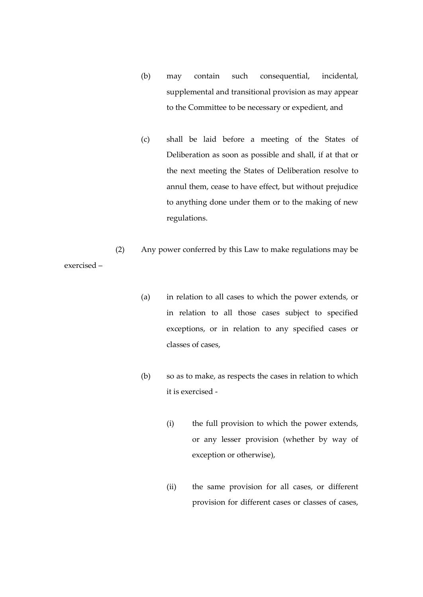- (b) may contain such consequential, incidental, supplemental and transitional provision as may appear to the Committee to be necessary or expedient, and
- (c) shall be laid before a meeting of the States of Deliberation as soon as possible and shall, if at that or the next meeting the States of Deliberation resolve to annul them, cease to have effect, but without prejudice to anything done under them or to the making of new regulations.

(2) Any power conferred by this Law to make regulations may be exercised –

- (a) in relation to all cases to which the power extends, or in relation to all those cases subject to specified exceptions, or in relation to any specified cases or classes of cases,
- (b) so as to make, as respects the cases in relation to which it is exercised -
	- (i) the full provision to which the power extends, or any lesser provision (whether by way of exception or otherwise),
	- (ii) the same provision for all cases, or different provision for different cases or classes of cases,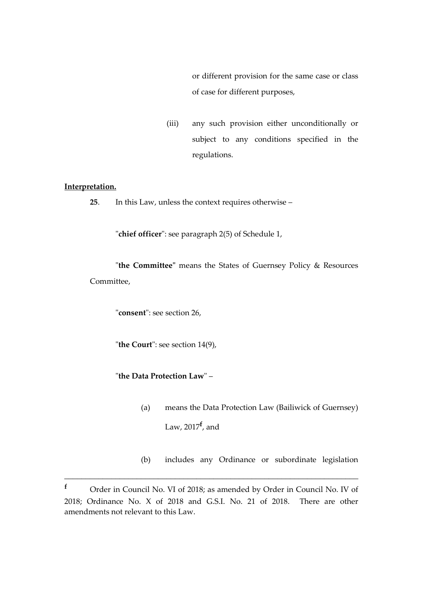or different provision for the same case or class of case for different purposes,

(iii) any such provision either unconditionally or subject to any conditions specified in the regulations.

## **Interpretation.**

**25**. In this Law, unless the context requires otherwise –

"**chief officer**": see paragraph 2(5) of Schedule 1,

"**the Committee"** means the States of Guernsey Policy & Resources Committee,

"**consent**": see section 26,

"**the Court**": see section 14(9),

"**the Data Protection Law**" –

- (a) means the Data Protection Law (Bailiwick of Guernsey) Law, 2017**<sup>f</sup>** , and
- (b) includes any Ordinance or subordinate legislation

\_\_\_\_\_\_\_\_\_\_\_\_\_\_\_\_\_\_\_\_\_\_\_\_\_\_\_\_\_\_\_\_\_\_\_\_\_\_\_\_\_\_\_\_\_\_\_\_\_\_\_\_\_\_\_\_\_\_\_\_\_\_\_\_\_\_\_\_\_

**<sup>f</sup>** Order in Council No. VI of 2018; as amended by Order in Council No. IV of 2018; Ordinance No. X of 2018 and G.S.I. No. 21 of 2018. There are other amendments not relevant to this Law.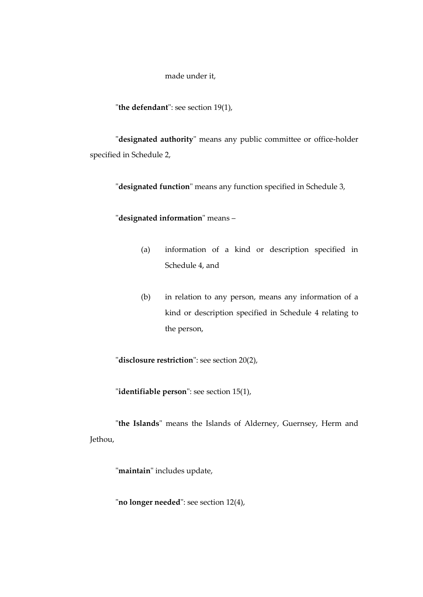made under it,

"**the defendant**": see section 19(1),

"**designated authority**" means any public committee or office-holder specified in Schedule 2,

"**designated function**" means any function specified in Schedule 3,

"**designated information**" means –

- (a) information of a kind or description specified in Schedule 4, and
- (b) in relation to any person, means any information of a kind or description specified in Schedule 4 relating to the person,

"**disclosure restriction**": see section 20(2),

"**identifiable person**": see section 15(1),

"**the Islands**" means the Islands of Alderney, Guernsey, Herm and Jethou,

"**maintain**" includes update,

"**no longer needed**": see section 12(4),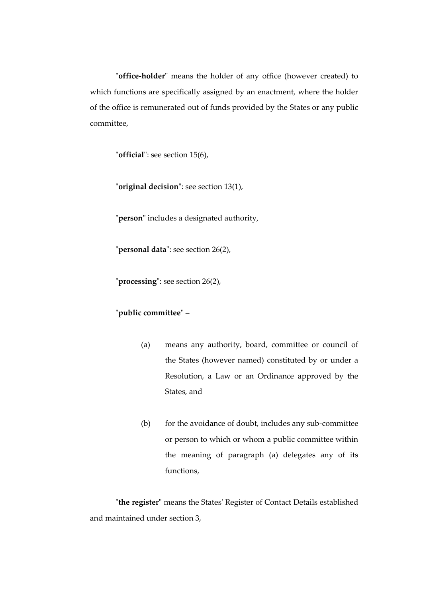"**office-holder**" means the holder of any office (however created) to which functions are specifically assigned by an enactment, where the holder of the office is remunerated out of funds provided by the States or any public committee,

"**official**": see section 15(6),

"**original decision**": see section 13(1),

"**person**" includes a designated authority,

"**personal data**": see section 26(2),

"**processing**": see section 26(2),

## "**public committee**" –

- (a) means any authority, board, committee or council of the States (however named) constituted by or under a Resolution, a Law or an Ordinance approved by the States, and
- (b) for the avoidance of doubt, includes any sub-committee or person to which or whom a public committee within the meaning of paragraph (a) delegates any of its functions,

"**the register**" means the States' Register of Contact Details established and maintained under section 3,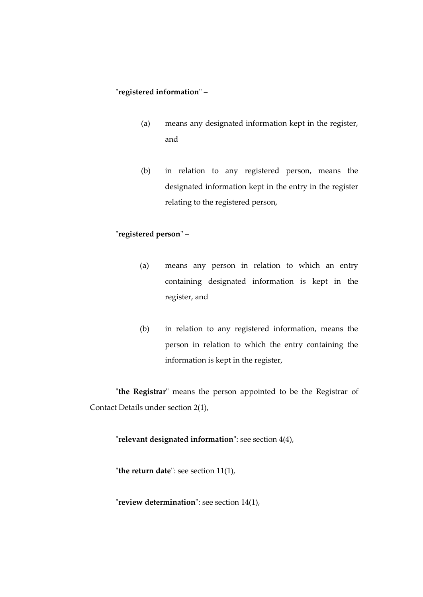## "**registered information**" –

- (a) means any designated information kept in the register, and
- (b) in relation to any registered person, means the designated information kept in the entry in the register relating to the registered person,

## "**registered person**" –

- (a) means any person in relation to which an entry containing designated information is kept in the register, and
- (b) in relation to any registered information, means the person in relation to which the entry containing the information is kept in the register,

"**the Registrar**" means the person appointed to be the Registrar of Contact Details under section 2(1),

"**relevant designated information**": see section 4(4),

"**the return date**": see section 11(1),

"**review determination**": see section 14(1),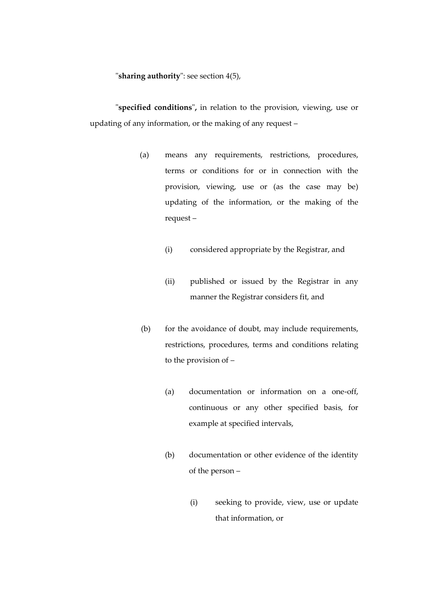"**sharing authority**": see section 4(5),

"**specified conditions**"**,** in relation to the provision, viewing, use or updating of any information, or the making of any request –

- (a) means any requirements, restrictions, procedures, terms or conditions for or in connection with the provision, viewing, use or (as the case may be) updating of the information, or the making of the request –
	- (i) considered appropriate by the Registrar, and
	- (ii) published or issued by the Registrar in any manner the Registrar considers fit, and
- (b) for the avoidance of doubt, may include requirements, restrictions, procedures, terms and conditions relating to the provision of –
	- (a) documentation or information on a one-off, continuous or any other specified basis, for example at specified intervals,
	- (b) documentation or other evidence of the identity of the person –
		- (i) seeking to provide, view, use or update that information, or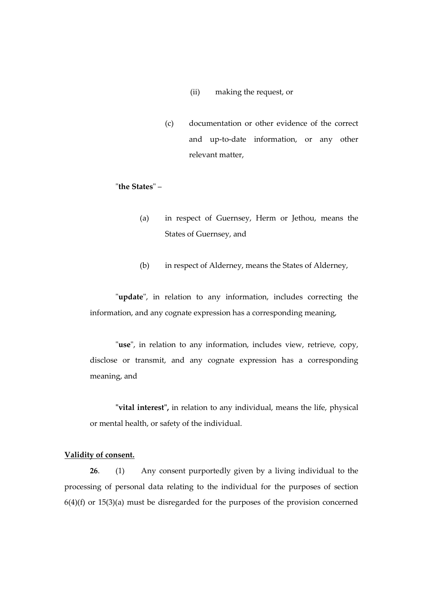## (ii) making the request, or

(c) documentation or other evidence of the correct and up-to-date information, or any other relevant matter,

"**the States**" –

- (a) in respect of Guernsey, Herm or Jethou, means the States of Guernsey, and
- (b) in respect of Alderney, means the States of Alderney,

"**update**", in relation to any information, includes correcting the information, and any cognate expression has a corresponding meaning,

"**use**", in relation to any information, includes view, retrieve, copy, disclose or transmit, and any cognate expression has a corresponding meaning, and

**"vital interest",** in relation to any individual, means the life, physical or mental health, or safety of the individual.

## **Validity of consent.**

**26**. (1) Any consent purportedly given by a living individual to the processing of personal data relating to the individual for the purposes of section  $6(4)(f)$  or  $15(3)(a)$  must be disregarded for the purposes of the provision concerned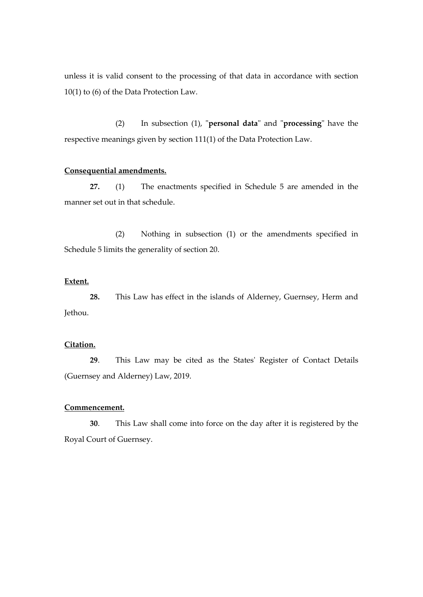unless it is valid consent to the processing of that data in accordance with section 10(1) to (6) of the Data Protection Law.

(2) In subsection (1), "**personal data**" and "**processing**" have the respective meanings given by section 111(1) of the Data Protection Law.

#### **Consequential amendments.**

**27.** (1) The enactments specified in Schedule 5 are amended in the manner set out in that schedule.

(2) Nothing in subsection (1) or the amendments specified in Schedule 5 limits the generality of section 20.

#### **Extent.**

**28.** This Law has effect in the islands of Alderney, Guernsey, Herm and Jethou.

## **Citation.**

**29**. This Law may be cited as the States' Register of Contact Details (Guernsey and Alderney) Law, 2019.

#### **Commencement.**

**30**. This Law shall come into force on the day after it is registered by the Royal Court of Guernsey.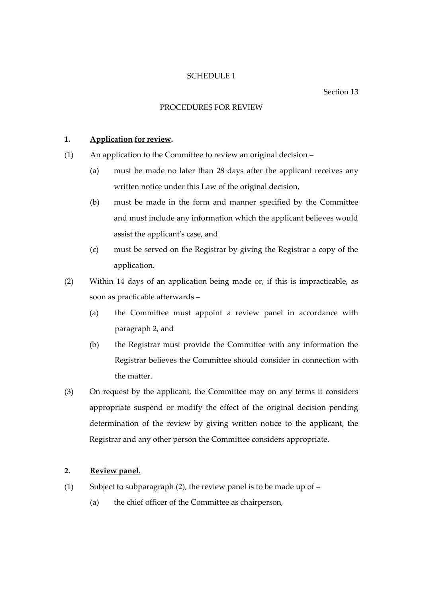#### Section 13

### PROCEDURES FOR REVIEW

## **1. Application for review.**

- (1) An application to the Committee to review an original decision
	- (a) must be made no later than 28 days after the applicant receives any written notice under this Law of the original decision,
	- (b) must be made in the form and manner specified by the Committee and must include any information which the applicant believes would assist the applicant's case, and
	- (c) must be served on the Registrar by giving the Registrar a copy of the application.
- (2) Within 14 days of an application being made or, if this is impracticable, as soon as practicable afterwards –
	- (a) the Committee must appoint a review panel in accordance with paragraph 2, and
	- (b) the Registrar must provide the Committee with any information the Registrar believes the Committee should consider in connection with the matter.
- (3) On request by the applicant, the Committee may on any terms it considers appropriate suspend or modify the effect of the original decision pending determination of the review by giving written notice to the applicant, the Registrar and any other person the Committee considers appropriate.

## **2. Review panel.**

- (1) Subject to subparagraph (2), the review panel is to be made up of  $-$ 
	- (a) the chief officer of the Committee as chairperson,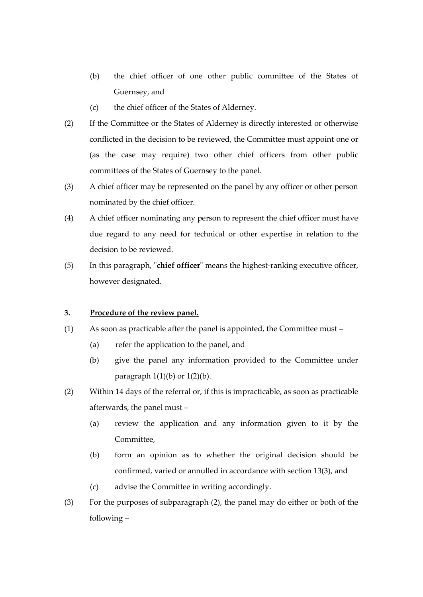- (b) the chief officer of one other public committee of the States of Guernsey, and
- (c) the chief officer of the States of Alderney.
- (2) If the Committee or the States of Alderney is directly interested or otherwise conflicted in the decision to be reviewed, the Committee must appoint one or (as the case may require) two other chief officers from other public committees of the States of Guernsey to the panel.
- (3) A chief officer may be represented on the panel by any officer or other person nominated by the chief officer.
- (4) A chief officer nominating any person to represent the chief officer must have due regard to any need for technical or other expertise in relation to the decision to be reviewed.
- (5) In this paragraph, "**chief officer**" means the highest-ranking executive officer, however designated.

## **3. Procedure of the review panel.**

- (1) As soon as practicable after the panel is appointed, the Committee must
	- (a) refer the application to the panel, and
	- (b) give the panel any information provided to the Committee under paragraph  $1(1)(b)$  or  $1(2)(b)$ .
- (2) Within 14 days of the referral or, if this is impracticable, as soon as practicable afterwards, the panel must –
	- (a) review the application and any information given to it by the Committee,
	- (b) form an opinion as to whether the original decision should be confirmed, varied or annulled in accordance with section 13(3), and
	- (c) advise the Committee in writing accordingly.
- (3) For the purposes of subparagraph (2), the panel may do either or both of the following –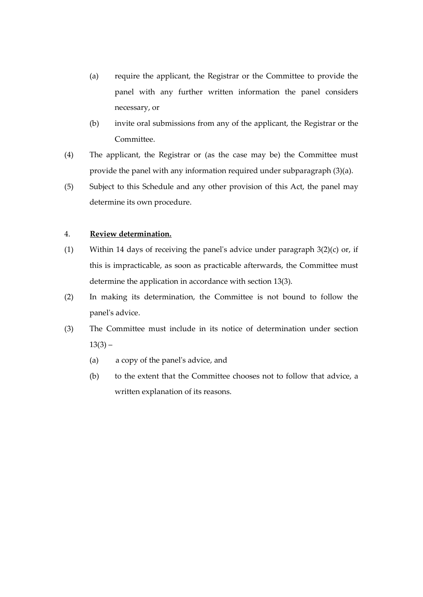- (a) require the applicant, the Registrar or the Committee to provide the panel with any further written information the panel considers necessary, or
- (b) invite oral submissions from any of the applicant, the Registrar or the Committee.
- (4) The applicant, the Registrar or (as the case may be) the Committee must provide the panel with any information required under subparagraph (3)(a).
- (5) Subject to this Schedule and any other provision of this Act, the panel may determine its own procedure.

## 4. **Review determination.**

- (1) Within 14 days of receiving the panel's advice under paragraph 3(2)(c) or, if this is impracticable, as soon as practicable afterwards, the Committee must determine the application in accordance with section 13(3).
- (2) In making its determination, the Committee is not bound to follow the panel's advice.
- (3) The Committee must include in its notice of determination under section  $13(3) -$ 
	- (a) a copy of the panel's advice, and
	- (b) to the extent that the Committee chooses not to follow that advice, a written explanation of its reasons.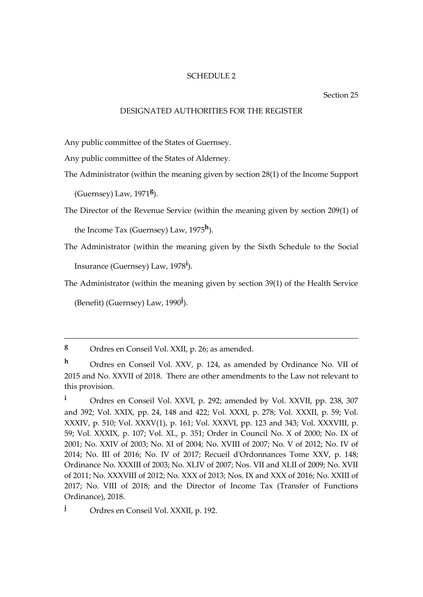#### Section 25

#### DESIGNATED AUTHORITIES FOR THE REGISTER

Any public committee of the States of Guernsey.

Any public committee of the States of Alderney.

The Administrator (within the meaning given by section 28(1) of the Income Support

(Guernsey) Law, 1971**<sup>g</sup>** ).

The Director of the Revenue Service (within the meaning given by section 209(1) of

the Income Tax (Guernsey) Law, 1975**<sup>h</sup>** ).

The Administrator (within the meaning given by the Sixth Schedule to the Social Insurance (Guernsey) Law, 1978**<sup>i</sup>** ).

The Administrator (within the meaning given by section 39(1) of the Health Service

(Benefit) (Guernsey) Law, 1990**<sup>j</sup>** ).

**<sup>g</sup>** Ordres en Conseil Vol. XXII, p. 26; as amended.

\_\_\_\_\_\_\_\_\_\_\_\_\_\_\_\_\_\_\_\_\_\_\_\_\_\_\_\_\_\_\_\_\_\_\_\_\_\_\_\_\_\_\_\_\_\_\_\_\_\_\_\_\_\_\_\_\_\_\_\_\_\_\_\_\_\_\_\_\_

**<sup>h</sup>** Ordres en Conseil Vol. XXV, p. 124, as amended by Ordinance No. VII of 2015 and No. XXVII of 2018. There are other amendments to the Law not relevant to this provision.

**<sup>i</sup>** Ordres en Conseil Vol. XXVI, p. 292; amended by Vol. XXVII, pp. 238, 307 and 392; Vol. XXIX, pp. 24, 148 and 422; Vol. XXXI, p. 278; Vol. XXXII, p. 59; Vol. XXXIV, p. 510; Vol. XXXV(1), p. 161; Vol. XXXVI, pp. 123 and 343; Vol. XXXVIII, p. 59; Vol. XXXIX, p. 107; Vol. XL, p. 351; Order in Council No. X of 2000; No. IX of 2001; No. XXIV of 2003; No. XI of 2004; No. XVIII of 2007; No. V of 2012; No. IV of 2014; No. III of 2016; No. IV of 2017; Recueil d'Ordonnances Tome XXV, p. 148; Ordinance No. XXXIII of 2003; No. XLIV of 2007; Nos. VII and XLII of 2009; No. XVII of 2011; No. XXXVIII of 2012; No. XXX of 2013; Nos. IX and XXX of 2016; No. XXIII of 2017; No. VIII of 2018; and the Director of Income Tax (Transfer of Functions Ordinance), 2018.

**<sup>j</sup>** Ordres en Conseil Vol. XXXII, p. 192.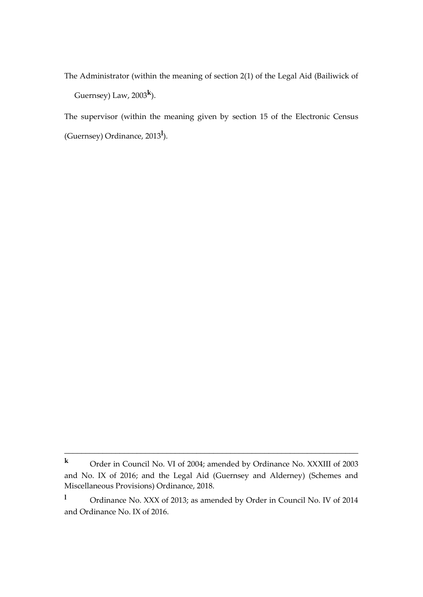The Administrator (within the meaning of section 2(1) of the Legal Aid (Bailiwick of Guernsey) Law, 2003**<sup>k</sup>** ).

The supervisor (within the meaning given by section 15 of the Electronic Census (Guernsey) Ordinance, 2013**<sup>l</sup>** ).

\_\_\_\_\_\_\_\_\_\_\_\_\_\_\_\_\_\_\_\_\_\_\_\_\_\_\_\_\_\_\_\_\_\_\_\_\_\_\_\_\_\_\_\_\_\_\_\_\_\_\_\_\_\_\_\_\_\_\_\_\_\_\_\_\_\_\_\_\_

**<sup>k</sup>** Order in Council No. VI of 2004; amended by Ordinance No. XXXIII of 2003 and No. IX of 2016; and the Legal Aid (Guernsey and Alderney) (Schemes and Miscellaneous Provisions) Ordinance, 2018.

**<sup>l</sup>** Ordinance No. XXX of 2013; as amended by Order in Council No. IV of 2014 and Ordinance No. IX of 2016.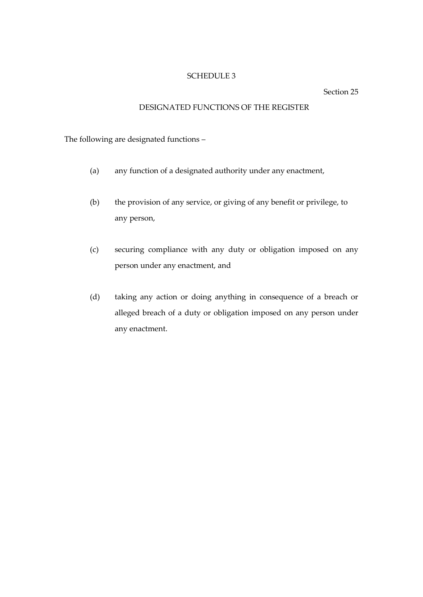Section 25

## DESIGNATED FUNCTIONS OF THE REGISTER

The following are designated functions –

- (a) any function of a designated authority under any enactment,
- (b) the provision of any service, or giving of any benefit or privilege, to any person,
- (c) securing compliance with any duty or obligation imposed on any person under any enactment, and
- (d) taking any action or doing anything in consequence of a breach or alleged breach of a duty or obligation imposed on any person under any enactment.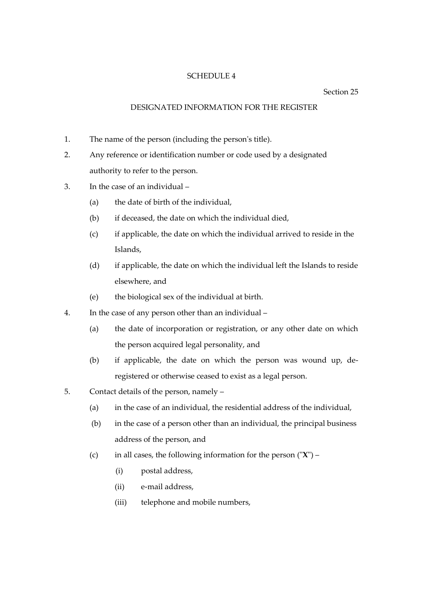## Section 25

## DESIGNATED INFORMATION FOR THE REGISTER

- 1. The name of the person (including the person's title).
- 2. Any reference or identification number or code used by a designated authority to refer to the person.
- 3. In the case of an individual
	- (a) the date of birth of the individual,
	- (b) if deceased, the date on which the individual died,
	- (c) if applicable, the date on which the individual arrived to reside in the Islands,
	- (d) if applicable, the date on which the individual left the Islands to reside elsewhere, and
	- (e) the biological sex of the individual at birth.
- 4. In the case of any person other than an individual
	- (a) the date of incorporation or registration, or any other date on which the person acquired legal personality, and
	- (b) if applicable, the date on which the person was wound up, deregistered or otherwise ceased to exist as a legal person.
- 5. Contact details of the person, namely
	- (a) in the case of an individual, the residential address of the individual,
	- (b) in the case of a person other than an individual, the principal business address of the person, and
	- (c) in all cases, the following information for the person ("**X**")
		- (i) postal address,
		- (ii) e-mail address,
		- (iii) telephone and mobile numbers,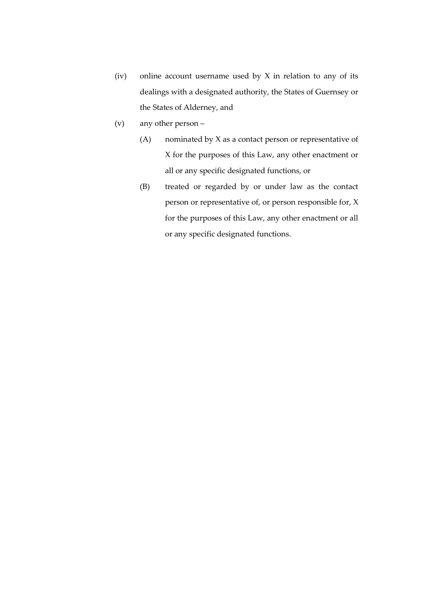- (iv) online account username used by  $X$  in relation to any of its dealings with a designated authority, the States of Guernsey or the States of Alderney, and
- (v) any other person
	- (A) nominated by X as a contact person or representative of X for the purposes of this Law, any other enactment or all or any specific designated functions, or
	- (B) treated or regarded by or under law as the contact person or representative of, or person responsible for, X for the purposes of this Law, any other enactment or all or any specific designated functions.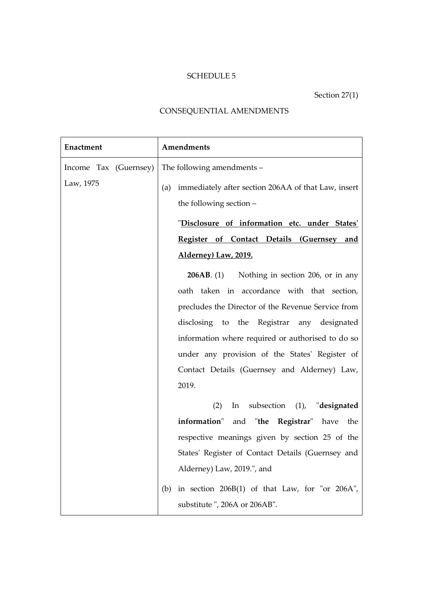Section 27(1)

## CONSEQUENTIAL AMENDMENTS

| Enactment             | Amendments                                                 |
|-----------------------|------------------------------------------------------------|
| Income Tax (Guernsey) | The following amendments -                                 |
| Law, 1975             | immediately after section 206AA of that Law, insert<br>(a) |
|                       | the following section -                                    |
|                       | "Disclosure of information etc. under States'              |
|                       | Register of Contact Details (Guernsey and                  |
|                       | <u>Alderney) Law, 2019.</u>                                |
|                       | <b>206AB.</b> (1) Nothing in section 206, or in any        |
|                       | oath taken in accordance with that section,                |
|                       | precludes the Director of the Revenue Service from         |
|                       | disclosing to the Registrar any designated                 |
|                       | information where required or authorised to do so          |
|                       | under any provision of the States' Register of             |
|                       | Contact Details (Guernsey and Alderney) Law,               |
|                       | 2019.                                                      |
|                       | subsection (1), "designated<br>(2)<br>In                   |
|                       | information" and "the Registrar" have the                  |
|                       | respective meanings given by section 25 of the             |
|                       | States' Register of Contact Details (Guernsey and          |
|                       | Alderney) Law, 2019.", and                                 |
|                       | in section $206B(1)$ of that Law, for "or $206A$ ",<br>(b) |
|                       | substitute", 206A or 206AB".                               |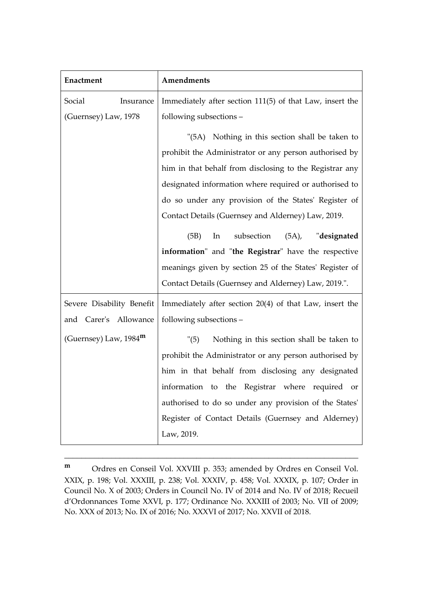| Enactment                      | Amendments                                               |
|--------------------------------|----------------------------------------------------------|
| Social<br>Insurance            | Immediately after section 111(5) of that Law, insert the |
| (Guernsey) Law, 1978           | following subsections -                                  |
|                                | "(5A) Nothing in this section shall be taken to          |
|                                | prohibit the Administrator or any person authorised by   |
|                                | him in that behalf from disclosing to the Registrar any  |
|                                | designated information where required or authorised to   |
|                                | do so under any provision of the States' Register of     |
|                                | Contact Details (Guernsey and Alderney) Law, 2019.       |
|                                | subsection (5A), "designated<br>(5B)<br>In               |
|                                | information" and "the Registrar" have the respective     |
|                                | meanings given by section 25 of the States' Register of  |
|                                | Contact Details (Guernsey and Alderney) Law, 2019.".     |
| Severe Disability Benefit      | Immediately after section 20(4) of that Law, insert the  |
| and Carer's Allowance          | following subsections -                                  |
| (Guernsey) Law, $1984^{\rm m}$ | Nothing in this section shall be taken to<br>"(5)        |
|                                | prohibit the Administrator or any person authorised by   |
|                                | him in that behalf from disclosing any designated        |
|                                | information to the Registrar where required or           |
|                                | authorised to do so under any provision of the States'   |
|                                | Register of Contact Details (Guernsey and Alderney)      |
|                                | Law, 2019.                                               |

**<sup>m</sup>** Ordres en Conseil Vol. XXVIII p. 353; amended by Ordres en Conseil Vol. XXIX, p. 198; Vol. XXXIII, p. 238; Vol. XXXIV, p. 458; Vol. XXXIX, p. 107; Order in Council No. X of 2003; Orders in Council No. IV of 2014 and No. IV of 2018; Recueil d'Ordonnances Tome XXVI, p. 177; Ordinance No. XXXIII of 2003; No. VII of 2009; No. XXX of 2013; No. IX of 2016; No. XXXVI of 2017; No. XXVII of 2018.

\_\_\_\_\_\_\_\_\_\_\_\_\_\_\_\_\_\_\_\_\_\_\_\_\_\_\_\_\_\_\_\_\_\_\_\_\_\_\_\_\_\_\_\_\_\_\_\_\_\_\_\_\_\_\_\_\_\_\_\_\_\_\_\_\_\_\_\_\_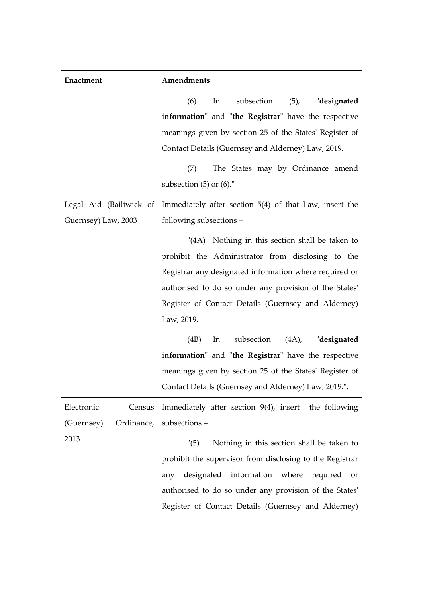| Enactment                | Amendments                                               |
|--------------------------|----------------------------------------------------------|
|                          | (6)<br>subsection<br>$(5)$ ,<br>In<br>"designated        |
|                          | information" and "the Registrar" have the respective     |
|                          | meanings given by section 25 of the States' Register of  |
|                          | Contact Details (Guernsey and Alderney) Law, 2019.       |
|                          | The States may by Ordinance amend<br>(7)                 |
|                          | subsection $(5)$ or $(6)$ ."                             |
| Legal Aid (Bailiwick of  | Immediately after section 5(4) of that Law, insert the   |
| Guernsey) Law, 2003      | following subsections -                                  |
|                          | "(4A) Nothing in this section shall be taken to          |
|                          | prohibit the Administrator from disclosing to the        |
|                          | Registrar any designated information where required or   |
|                          | authorised to do so under any provision of the States'   |
|                          | Register of Contact Details (Guernsey and Alderney)      |
|                          | Law, 2019.                                               |
|                          | subsection (4A), "designated<br>(4B)<br>In               |
|                          | information" and "the Registrar" have the respective     |
|                          | meanings given by section 25 of the States' Register of  |
|                          | Contact Details (Guernsey and Alderney) Law, 2019.".     |
| Electronic<br>Census     | Immediately after section $9(4)$ , insert the following  |
| (Guernsey)<br>Ordinance, | subsections-                                             |
| 2013                     | Nothing in this section shall be taken to<br>"(5)        |
|                          | prohibit the supervisor from disclosing to the Registrar |
|                          | information where<br>designated<br>required<br>any<br>or |
|                          | authorised to do so under any provision of the States'   |
|                          | Register of Contact Details (Guernsey and Alderney)      |